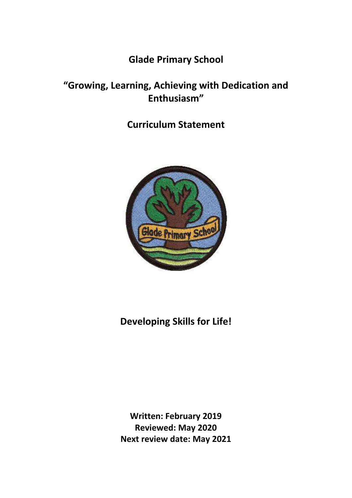# **Glade Primary School**

# **"Growing, Learning, Achieving with Dedication and Enthusiasm"**

## **Curriculum Statement**



# **Developing Skills for Life!**

**Written: February 2019 Reviewed: May 2020 Next review date: May 2021**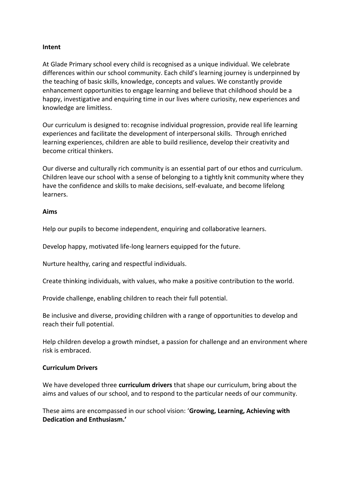## **Intent**

At Glade Primary school every child is recognised as a unique individual. We celebrate differences within our school community. Each child's learning journey is underpinned by the teaching of basic skills, knowledge, concepts and values. We constantly provide enhancement opportunities to engage learning and believe that childhood should be a happy, investigative and enquiring time in our lives where curiosity, new experiences and knowledge are limitless.

Our curriculum is designed to: recognise individual progression, provide real life learning experiences and facilitate the development of interpersonal skills. Through enriched learning experiences, children are able to build resilience, develop their creativity and become critical thinkers.

Our diverse and culturally rich community is an essential part of our ethos and curriculum. Children leave our school with a sense of belonging to a tightly knit community where they have the confidence and skills to make decisions, self-evaluate, and become lifelong learners.

### **Aims**

Help our pupils to become independent, enquiring and collaborative learners.

Develop happy, motivated life-long learners equipped for the future.

Nurture healthy, caring and respectful individuals.

Create thinking individuals, with values, who make a positive contribution to the world.

Provide challenge, enabling children to reach their full potential.

Be inclusive and diverse, providing children with a range of opportunities to develop and reach their full potential.

Help children develop a growth mindset, a passion for challenge and an environment where risk is embraced.

#### **Curriculum Drivers**

We have developed three **curriculum drivers** that shape our curriculum, bring about the aims and values of our school, and to respond to the particular needs of our community.

These aims are encompassed in our school vision: '**Growing, Learning, Achieving with Dedication and Enthusiasm.'**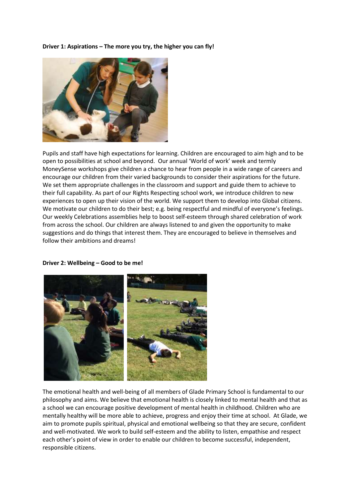#### **Driver 1: Aspirations – The more you try, the higher you can fly!**



Pupils and staff have high expectations for learning. Children are encouraged to aim high and to be open to possibilities at school and beyond. Our annual 'World of work' week and termly MoneySense workshops give children a chance to hear from people in a wide range of careers and encourage our children from their varied backgrounds to consider their aspirations for the future. We set them appropriate challenges in the classroom and support and guide them to achieve to their full capability. As part of our Rights Respecting school work, we introduce children to new experiences to open up their vision of the world. We support them to develop into Global citizens. We motivate our children to do their best; e.g. being respectful and mindful of everyone's feelings. Our weekly Celebrations assemblies help to boost self-esteem through shared celebration of work from across the school. Our children are always listened to and given the opportunity to make suggestions and do things that interest them. They are encouraged to believe in themselves and follow their ambitions and dreams!

#### **Driver 2: Wellbeing – Good to be me!**



The emotional health and well-being of all members of Glade Primary School is fundamental to our philosophy and aims. We believe that emotional health is closely linked to mental health and that as a school we can encourage positive development of mental health in childhood. Children who are mentally healthy will be more able to achieve, progress and enjoy their time at school. At Glade, we aim to promote pupils spiritual, physical and emotional wellbeing so that they are secure, confident and well-motivated. We work to build self-esteem and the ability to listen, empathise and respect each other's point of view in order to enable our children to become successful, independent, responsible citizens.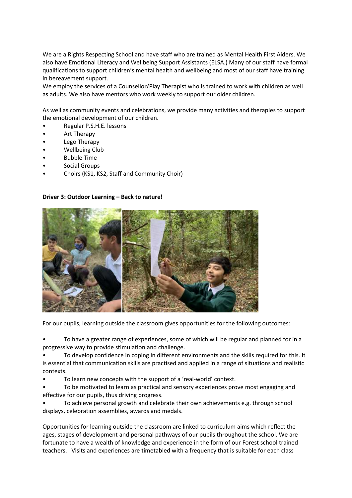We are a Rights Respecting School and have staff who are trained as Mental Health First Aiders. We also have Emotional Literacy and Wellbeing Support Assistants (ELSA.) Many of our staff have formal qualifications to support children's mental health and wellbeing and most of our staff have training in bereavement support.

We employ the services of a Counsellor/Play Therapist who is trained to work with children as well as adults. We also have mentors who work weekly to support our older children.

As well as community events and celebrations, we provide many activities and therapies to support the emotional development of our children.

- Regular P.S.H.E. lessons
- Art Therapy
- Lego Therapy
- Wellbeing Club
- Bubble Time
- Social Groups
- Choirs (KS1, KS2, Staff and Community Choir)

#### **Driver 3: Outdoor Learning – Back to nature!**



For our pupils, learning outside the classroom gives opportunities for the following outcomes:

• To have a greater range of experiences, some of which will be regular and planned for in a progressive way to provide stimulation and challenge.

• To develop confidence in coping in different environments and the skills required for this. It is essential that communication skills are practised and applied in a range of situations and realistic contexts.

• To learn new concepts with the support of a 'real-world' context.

• To be motivated to learn as practical and sensory experiences prove most engaging and effective for our pupils, thus driving progress.

• To achieve personal growth and celebrate their own achievements e.g. through school displays, celebration assemblies, awards and medals.

Opportunities for learning outside the classroom are linked to curriculum aims which reflect the ages, stages of development and personal pathways of our pupils throughout the school. We are fortunate to have a wealth of knowledge and experience in the form of our Forest school trained teachers. Visits and experiences are timetabled with a frequency that is suitable for each class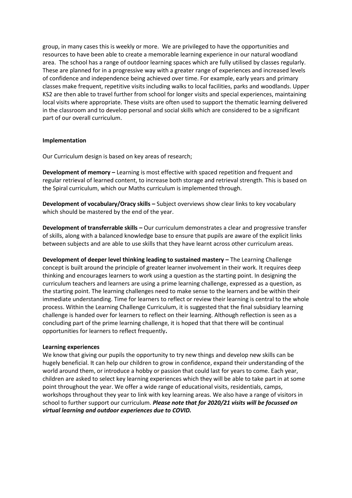group, in many cases this is weekly or more. We are privileged to have the opportunities and resources to have been able to create a memorable learning experience in our natural woodland area. The school has a range of outdoor learning spaces which are fully utilised by classes regularly. These are planned for in a progressive way with a greater range of experiences and increased levels of confidence and independence being achieved over time. For example, early years and primary classes make frequent, repetitive visits including walks to local facilities, parks and woodlands. Upper KS2 are then able to travel further from school for longer visits and special experiences, maintaining local visits where appropriate. These visits are often used to support the thematic learning delivered in the classroom and to develop personal and social skills which are considered to be a significant part of our overall curriculum.

#### **Implementation**

Our Curriculum design is based on key areas of research;

**Development of memory –** Learning is most effective with spaced repetition and frequent and regular retrieval of learned content, to increase both storage and retrieval strength. This is based on the Spiral curriculum, which our Maths curriculum is implemented through.

**Development of vocabulary/Oracy skills –** Subject overviews show clear links to key vocabulary which should be mastered by the end of the year.

**Development of transferrable skills –** Our curriculum demonstrates a clear and progressive transfer of skills, along with a balanced knowledge base to ensure that pupils are aware of the explicit links between subjects and are able to use skills that they have learnt across other curriculum areas.

**Development of deeper level thinking leading to sustained mastery - The Learning Challenge** concept is built around the principle of greater learner involvement in their work. It requires deep thinking and encourages learners to work using a question as the starting point. In designing the curriculum teachers and learners are using a prime learning challenge, expressed as a question, as the starting point. The learning challenges need to make sense to the learners and be within their immediate understanding. Time for learners to reflect or review their learning is central to the whole process. Within the Learning Challenge Curriculum, it is suggested that the final subsidiary learning challenge is handed over for learners to reflect on their learning. Although reflection is seen as a concluding part of the prime learning challenge, it is hoped that that there will be continual opportunities for learners to reflect frequently**.** 

#### **Learning experiences**

We know that giving our pupils the opportunity to try new things and develop new skills can be hugely beneficial. It can help our children to grow in confidence, expand their understanding of the world around them, or introduce a hobby or passion that could last for years to come. Each year, children are asked to select key learning experiences which they will be able to take part in at some point throughout the year. We offer a wide range of educational visits, residentials, camps, workshops throughout they year to link with key learning areas. We also have a range of visitors in school to further support our curriculum. *Please note that for 2020/21 visits will be focussed on virtual learning and outdoor experiences due to COVID.*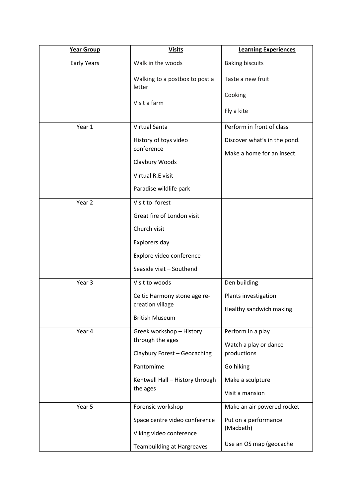| Year Group         | <b>Visits</b>                                | <b>Learning Experiences</b>                                |
|--------------------|----------------------------------------------|------------------------------------------------------------|
| <b>Early Years</b> | Walk in the woods                            | <b>Baking biscuits</b>                                     |
|                    | Walking to a postbox to post a<br>letter     | Taste a new fruit                                          |
|                    | Visit a farm                                 | Cooking<br>Fly a kite                                      |
| Year 1             | <b>Virtual Santa</b>                         | Perform in front of class                                  |
|                    | History of toys video<br>conference          | Discover what's in the pond.<br>Make a home for an insect. |
|                    | Claybury Woods                               |                                                            |
|                    | Virtual R.E visit                            |                                                            |
|                    | Paradise wildlife park                       |                                                            |
| Year 2             | Visit to forest                              |                                                            |
|                    | Great fire of London visit                   |                                                            |
|                    | Church visit                                 |                                                            |
|                    | Explorers day                                |                                                            |
|                    | Explore video conference                     |                                                            |
|                    | Seaside visit - Southend                     |                                                            |
| Year 3             | Visit to woods                               | Den building                                               |
|                    | Celtic Harmony stone age re-                 | Plants investigation                                       |
|                    | creation village                             | Healthy sandwich making                                    |
|                    | <b>British Museum</b>                        |                                                            |
| Year 4             | Greek workshop - History<br>through the ages | Perform in a play                                          |
|                    |                                              | Watch a play or dance                                      |
|                    | Claybury Forest - Geocaching                 | productions                                                |
|                    | Pantomime                                    | Go hiking                                                  |
|                    | Kentwell Hall - History through<br>the ages  | Make a sculpture                                           |
|                    |                                              | Visit a mansion                                            |
| Year 5             | Forensic workshop                            | Make an air powered rocket                                 |
|                    | Space centre video conference                | Put on a performance                                       |
|                    | Viking video conference                      | (Macbeth)                                                  |
|                    | <b>Teambuilding at Hargreaves</b>            | Use an OS map (geocache                                    |